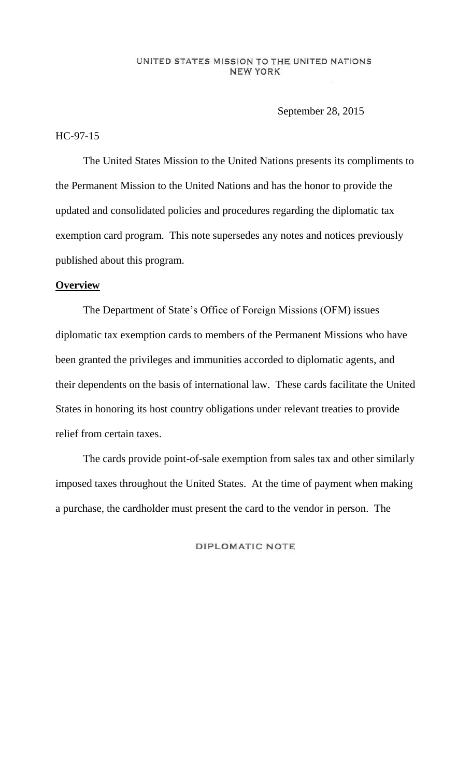#### UNITED STATES MISSION TO THE UNITED NATIONS NEW YORK

September 28, 2015

## HC-97-15

The United States Mission to the United Nations presents its compliments to the Permanent Mission to the United Nations and has the honor to provide the updated and consolidated policies and procedures regarding the diplomatic tax exemption card program. This note supersedes any notes and notices previously published about this program.

## **Overview**

The Department of State's Office of Foreign Missions (OFM) issues diplomatic tax exemption cards to members of the Permanent Missions who have been granted the privileges and immunities accorded to diplomatic agents, and their dependents on the basis of international law. These cards facilitate the United States in honoring its host country obligations under relevant treaties to provide relief from certain taxes.

The cards provide point-of-sale exemption from sales tax and other similarly imposed taxes throughout the United States. At the time of payment when making a purchase, the cardholder must present the card to the vendor in person. The

DIPLOMATIC NOTE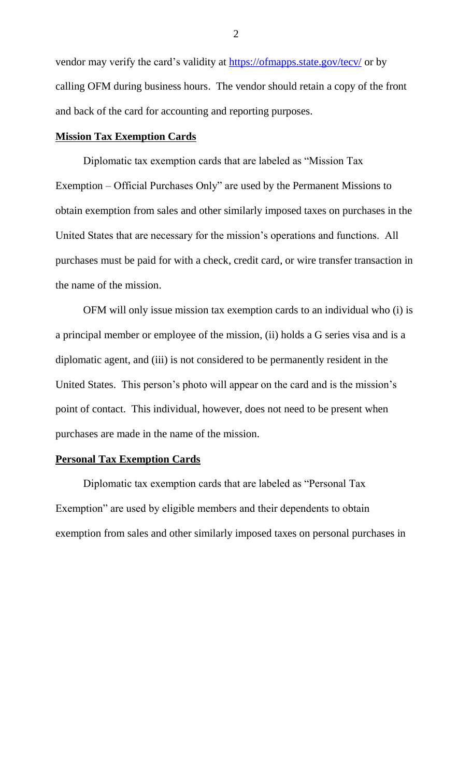vendor may verify the card's validity at https://ofmapps.state.gov/tecv/ or by calling OFM during business hours. The vendor should retain a copy of the front and back of the card for accounting and reporting purposes.

## **Mission Tax Exemption Cards**

Diplomatic tax exemption cards that are labeled as "Mission Tax Exemption – Official Purchases Only" are used by the Permanent Missions to obtain exemption from sales and other similarly imposed taxes on purchases in the United States that are necessary for the mission's operations and functions. All purchases must be paid for with a check, credit card, or wire transfer transaction in the name of the mission.

OFM will only issue mission tax exemption cards to an individual who (i) is a principal member or employee of the mission, (ii) holds a G series visa and is a diplomatic agent, and (iii) is not considered to be permanently resident in the United States. This person's photo will appear on the card and is the mission's point of contact. This individual, however, does not need to be present when purchases are made in the name of the mission.

### **Personal Tax Exemption Cards**

Diplomatic tax exemption cards that are labeled as "Personal Tax Exemption" are used by eligible members and their dependents to obtain exemption from sales and other similarly imposed taxes on personal purchases in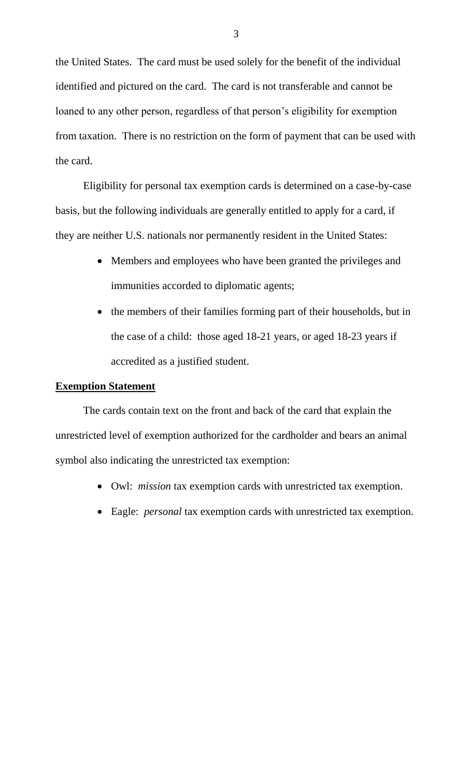the United States. The card must be used solely for the benefit of the individual identified and pictured on the card. The card is not transferable and cannot be loaned to any other person, regardless of that person's eligibility for exemption from taxation. There is no restriction on the form of payment that can be used with the card.

Eligibility for personal tax exemption cards is determined on a case-by-case basis, but the following individuals are generally entitled to apply for a card, if they are neither U.S. nationals nor permanently resident in the United States:

- Members and employees who have been granted the privileges and immunities accorded to diplomatic agents;
- the members of their families forming part of their households, but in the case of a child: those aged 18-21 years, or aged 18-23 years if accredited as a justified student.

#### **Exemption Statement**

The cards contain text on the front and back of the card that explain the unrestricted level of exemption authorized for the cardholder and bears an animal symbol also indicating the unrestricted tax exemption:

- Owl: *mission* tax exemption cards with unrestricted tax exemption.
- Eagle: *personal* tax exemption cards with unrestricted tax exemption.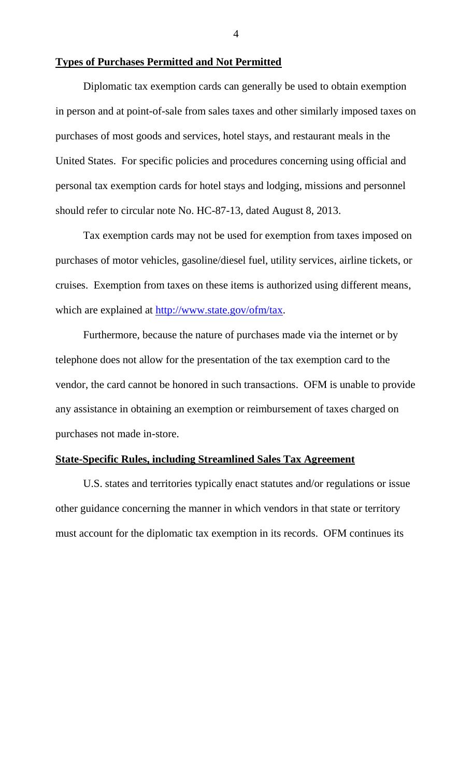### **Types of Purchases Permitted and Not Permitted**

Diplomatic tax exemption cards can generally be used to obtain exemption in person and at point-of-sale from sales taxes and other similarly imposed taxes on purchases of most goods and services, hotel stays, and restaurant meals in the United States. For specific policies and procedures concerning using official and personal tax exemption cards for hotel stays and lodging, missions and personnel should refer to circular note No. HC-87-13, dated August 8, 2013.

Tax exemption cards may not be used for exemption from taxes imposed on purchases of motor vehicles, gasoline/diesel fuel, utility services, airline tickets, or cruises. Exemption from taxes on these items is authorized using different means, which are explained at http://www.state.gov/ofm/tax.

Furthermore, because the nature of purchases made via the internet or by telephone does not allow for the presentation of the tax exemption card to the vendor, the card cannot be honored in such transactions. OFM is unable to provide any assistance in obtaining an exemption or reimbursement of taxes charged on purchases not made in-store.

#### **State-Specific Rules, including Streamlined Sales Tax Agreement**

U.S. states and territories typically enact statutes and/or regulations or issue other guidance concerning the manner in which vendors in that state or territory must account for the diplomatic tax exemption in its records. OFM continues its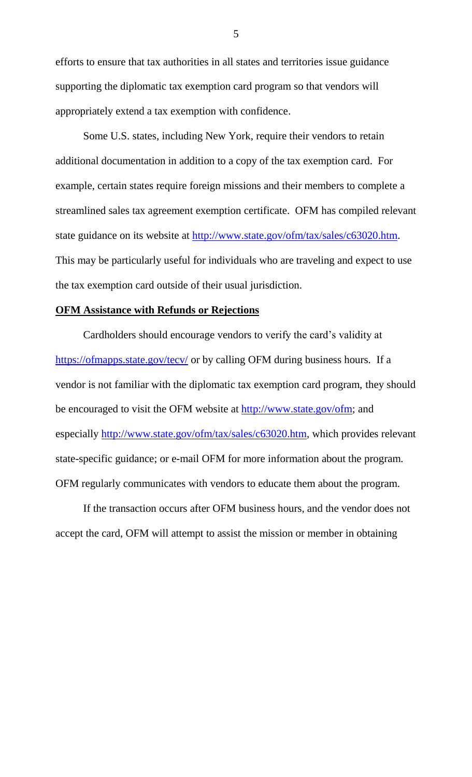efforts to ensure that tax authorities in all states and territories issue guidance supporting the diplomatic tax exemption card program so that vendors will appropriately extend a tax exemption with confidence.

Some U.S. states, including New York, require their vendors to retain additional documentation in addition to a copy of the tax exemption card. For example, certain states require foreign missions and their members to complete a streamlined sales tax agreement exemption certificate. OFM has compiled relevant state guidance on its website at http://www.state.gov/ofm/tax/sales/c63020.htm. This may be particularly useful for individuals who are traveling and expect to use the tax exemption card outside of their usual jurisdiction.

# **OFM Assistance with Refunds or Rejections**

Cardholders should encourage vendors to verify the card's validity at https://ofmapps.state.gov/tecv/ or by calling OFM during business hours. If a vendor is not familiar with the diplomatic tax exemption card program, they should be encouraged to visit the OFM website at http://www.state.gov/ofm; and especially http://www.state.gov/ofm/tax/sales/c63020.htm, which provides relevant state-specific guidance; or e-mail OFM for more information about the program. OFM regularly communicates with vendors to educate them about the program.

If the transaction occurs after OFM business hours, and the vendor does not accept the card, OFM will attempt to assist the mission or member in obtaining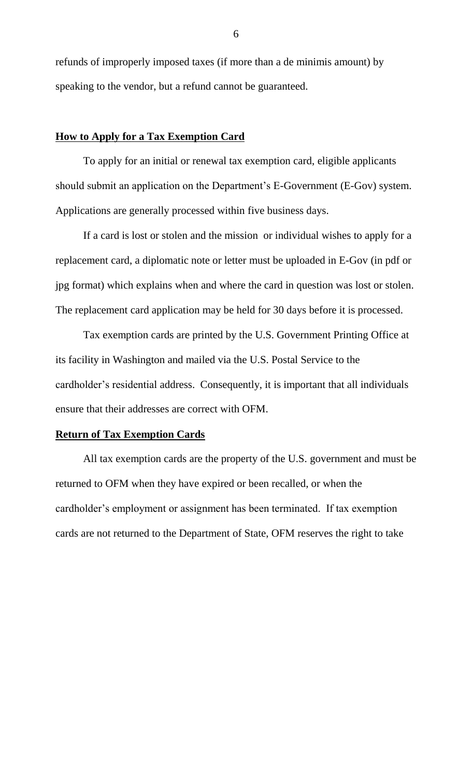refunds of improperly imposed taxes (if more than a de minimis amount) by speaking to the vendor, but a refund cannot be guaranteed.

### **How to Apply for a Tax Exemption Card**

To apply for an initial or renewal tax exemption card, eligible applicants should submit an application on the Department's E-Government (E-Gov) system. Applications are generally processed within five business days.

If a card is lost or stolen and the mission or individual wishes to apply for a replacement card, a diplomatic note or letter must be uploaded in E-Gov (in pdf or jpg format) which explains when and where the card in question was lost or stolen. The replacement card application may be held for 30 days before it is processed.

Tax exemption cards are printed by the U.S. Government Printing Office at its facility in Washington and mailed via the U.S. Postal Service to the cardholder's residential address. Consequently, it is important that all individuals ensure that their addresses are correct with OFM.

# **Return of Tax Exemption Cards**

All tax exemption cards are the property of the U.S. government and must be returned to OFM when they have expired or been recalled, or when the cardholder's employment or assignment has been terminated. If tax exemption cards are not returned to the Department of State, OFM reserves the right to take